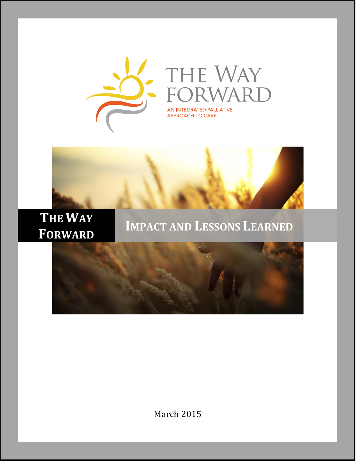



# **THE WAY FORWARD**

## **IMPACT AND LESSONS LEARNED**



March 2015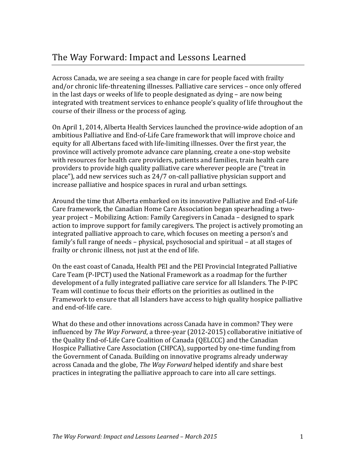Across Canada, we are seeing a sea change in care for people faced with frailty and/or chronic life-threatening illnesses. Palliative care services – once only offered in the last days or weeks of life to people designated as dying – are now being integrated with treatment services to enhance people's quality of life throughout the course of their illness or the process of aging.

On April 1, 2014, Alberta Health Services launched the province-wide adoption of an ambitious Palliative and End-of-Life Care framework that will improve choice and equity for all Albertans faced with life-limiting illnesses. Over the first year, the province will actively promote advance care planning, create a one-stop website with resources for health care providers, patients and families, train health care providers to provide high quality palliative care wherever people are ("treat in place"), add new services such as 24/7 on-call palliative physician support and increase palliative and hospice spaces in rural and urban settings.

Around the time that Alberta embarked on its innovative Palliative and End-of-Life Care framework, the Canadian Home Care Association began spearheading a twoyear project – Mobilizing Action: Family Caregivers in Canada – designed to spark action to improve support for family caregivers. The project is actively promoting an integrated palliative approach to care, which focuses on meeting a person's and family's full range of needs – physical, psychosocial and spiritual – at all stages of frailty or chronic illness, not just at the end of life.

On the east coast of Canada, Health PEI and the PEI Provincial Integrated Palliative Care Team (P-IPCT) used the National Framework as a roadmap for the further development of a fully integrated palliative care service for all Islanders. The P-IPC Team will continue to focus their efforts on the priorities as outlined in the Framework to ensure that all Islanders have access to high quality hospice palliative and end-of-life care.

What do these and other innovations across Canada have in common? They were influenced by *The Way Forward*, a three-year (2012-2015) collaborative initiative of the Quality End-of-Life Care Coalition of Canada (QELCCC) and the Canadian Hospice Palliative Care Association (CHPCA), supported by one-time funding from the Government of Canada. Building on innovative programs already underway across Canada and the globe, *The Way Forward* helped identify and share best practices in integrating the palliative approach to care into all care settings.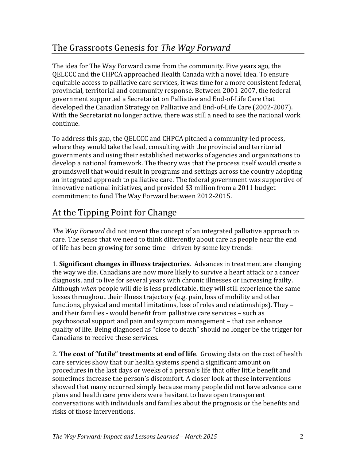The idea for The Way Forward came from the community. Five years ago, the QELCCC and the CHPCA approached Health Canada with a novel idea. To ensure equitable access to palliative care services, it was time for a more consistent federal, provincial, territorial and community response. Between 2001-2007, the federal government supported a Secretariat on Palliative and End-of-Life Care that developed the Canadian Strategy on Palliative and End-of-Life Care (2002-2007). With the Secretariat no longer active, there was still a need to see the national work continue.

To address this gap, the QELCCC and CHPCA pitched a community-led process, where they would take the lead, consulting with the provincial and territorial governments and using their established networks of agencies and organizations to develop a national framework. The theory was that the process itself would create a groundswell that would result in programs and settings across the country adopting an integrated approach to palliative care. The federal government was supportive of innovative national initiatives, and provided \$3 million from a 2011 budget commitment to fund The Way Forward between 2012-2015.

### At the Tipping Point for Change

*The Way Forward* did not invent the concept of an integrated palliative approach to care. The sense that we need to think differently about care as people near the end of life has been growing for some time – driven by some key trends:

1. **Significant changes in illness trajectories**. Advances in treatment are changing the way we die. Canadians are now more likely to survive a heart attack or a cancer diagnosis, and to live for several years with chronic illnesses or increasing frailty. Although *when* people will die is less predictable, they will still experience the same losses throughout their illness trajectory (e.g. pain, loss of mobility and other functions, physical and mental limitations, loss of roles and relationships). They – and their families - would benefit from palliative care services – such as psychosocial support and pain and symptom management – that can enhance quality of life. Being diagnosed as "close to death" should no longer be the trigger for Canadians to receive these services.

2. **The cost of "futile" treatments at end of life**. Growing data on the cost of health care services show that our health systems spend a significant amount on procedures in the last days or weeks of a person's life that offer little benefit and sometimes increase the person's discomfort. A closer look at these interventions showed that many occurred simply because many people did not have advance care plans and health care providers were hesitant to have open transparent conversations with individuals and families about the prognosis or the benefits and risks of those interventions.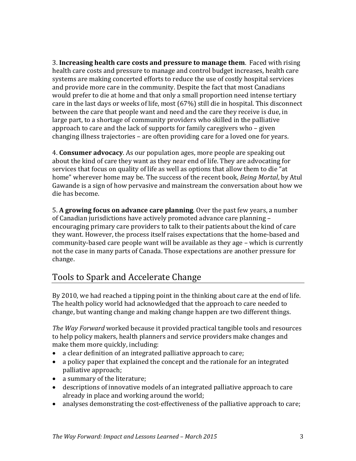3. **Increasing health care costs and pressure to manage them**. Faced with rising health care costs and pressure to manage and control budget increases, health care systems are making concerted efforts to reduce the use of costly hospital services and provide more care in the community. Despite the fact that most Canadians would prefer to die at home and that only a small proportion need intense tertiary care in the last days or weeks of life, most (67%) still die in hospital. This disconnect between the care that people want and need and the care they receive is due, in large part, to a shortage of community providers who skilled in the palliative approach to care and the lack of supports for family caregivers who – given changing illness trajectories – are often providing care for a loved one for years.

4. **Consumer advocacy**. As our population ages, more people are speaking out about the kind of care they want as they near end of life. They are advocating for services that focus on quality of life as well as options that allow them to die "at home" wherever home may be. The success of the recent book, *Being Mortal*, by Atul Gawande is a sign of how pervasive and mainstream the conversation about how we die has become.

5. **A growing focus on advance care planning**. Over the past few years, a number of Canadian jurisdictions have actively promoted advance care planning – encouraging primary care providers to talk to their patients about the kind of care they want. However, the process itself raises expectations that the home-based and community-based care people want will be available as they age – which is currently not the case in many parts of Canada. Those expectations are another pressure for change.

### Tools to Spark and Accelerate Change

By 2010, we had reached a tipping point in the thinking about care at the end of life. The health policy world had acknowledged that the approach to care needed to change, but wanting change and making change happen are two different things.

*The Way Forward* worked because it provided practical tangible tools and resources to help policy makers, health planners and service providers make changes and make them more quickly, including:

- a clear definition of an integrated palliative approach to care;
- a policy paper that explained the concept and the rationale for an integrated palliative approach;
- a summary of the literature;
- descriptions of innovative models of an integrated palliative approach to care already in place and working around the world;
- analyses demonstrating the cost-effectiveness of the palliative approach to care;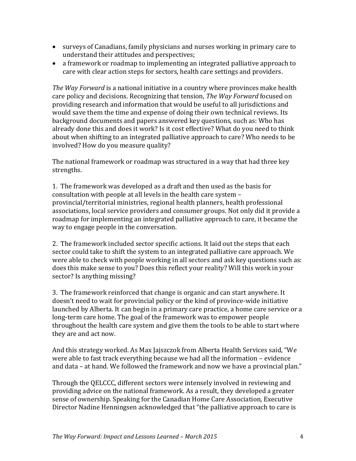- surveys of Canadians, family physicians and nurses working in primary care to understand their attitudes and perspectives;
- a framework or roadmap to implementing an integrated palliative approach to care with clear action steps for sectors, health care settings and providers.

*The Way Forward* is a national initiative in a country where provinces make health care policy and decisions. Recognizing that tension, *The Way Forward* focused on providing research and information that would be useful to all jurisdictions and would save them the time and expense of doing their own technical reviews. Its background documents and papers answered key questions, such as: Who has already done this and does it work? Is it cost effective? What do you need to think about when shifting to an integrated palliative approach to care? Who needs to be involved? How do you measure quality?

The national framework or roadmap was structured in a way that had three key strengths.

1. The framework was developed as a draft and then used as the basis for consultation with people at all levels in the health care system – provincial/territorial ministries, regional health planners, health professional associations, local service providers and consumer groups. Not only did it provide a roadmap for implementing an integrated palliative approach to care, it became the way to engage people in the conversation.

2. The framework included sector specific actions. It laid out the steps that each sector could take to shift the system to an integrated palliative care approach. We were able to check with people working in all sectors and ask key questions such as: does this make sense to you? Does this reflect your reality? Will this work in your sector? Is anything missing?

3. The framework reinforced that change is organic and can start anywhere. It doesn't need to wait for provincial policy or the kind of province-wide initiative launched by Alberta. It can begin in a primary care practice, a home care service or a long-term care home. The goal of the framework was to empower people throughout the health care system and give them the tools to be able to start where they are and act now.

And this strategy worked. As Max Jajszczok from Alberta Health Services said, "We were able to fast track everything because we had all the information – evidence and data – at hand. We followed the framework and now we have a provincial plan."

Through the QELCCC, different sectors were intensely involved in reviewing and providing advice on the national framework. As a result, they developed a greater sense of ownership. Speaking for the Canadian Home Care Association, Executive Director Nadine Henningsen acknowledged that "the palliative approach to care is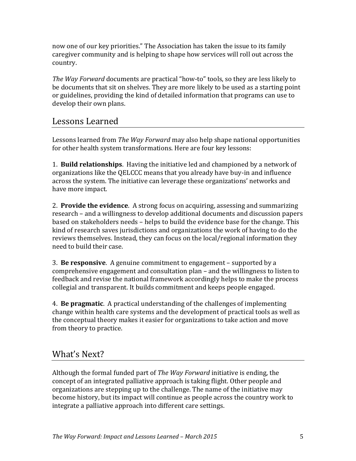now one of our key priorities." The Association has taken the issue to its family caregiver community and is helping to shape how services will roll out across the country.

*The Way Forward* documents are practical "how-to" tools, so they are less likely to be documents that sit on shelves. They are more likely to be used as a starting point or guidelines, providing the kind of detailed information that programs can use to develop their own plans.

#### Lessons Learned

Lessons learned from *The Way Forward* may also help shape national opportunities for other health system transformations. Here are four key lessons:

1. **Build relationships**. Having the initiative led and championed by a network of organizations like the QELCCC means that you already have buy-in and influence across the system. The initiative can leverage these organizations' networks and have more impact.

2. **Provide the evidence**. A strong focus on acquiring, assessing and summarizing research – and a willingness to develop additional documents and discussion papers based on stakeholders needs – helps to build the evidence base for the change. This kind of research saves jurisdictions and organizations the work of having to do the reviews themselves. Instead, they can focus on the local/regional information they need to build their case.

3. **Be responsive**. A genuine commitment to engagement – supported by a comprehensive engagement and consultation plan – and the willingness to listen to feedback and revise the national framework accordingly helps to make the process collegial and transparent. It builds commitment and keeps people engaged.

4. **Be pragmatic**. A practical understanding of the challenges of implementing change within health care systems and the development of practical tools as well as the conceptual theory makes it easier for organizations to take action and move from theory to practice.

### What's Next?

Although the formal funded part of *The Way Forward* initiative is ending, the concept of an integrated palliative approach is taking flight. Other people and organizations are stepping up to the challenge. The name of the initiative may become history, but its impact will continue as people across the country work to integrate a palliative approach into different care settings.